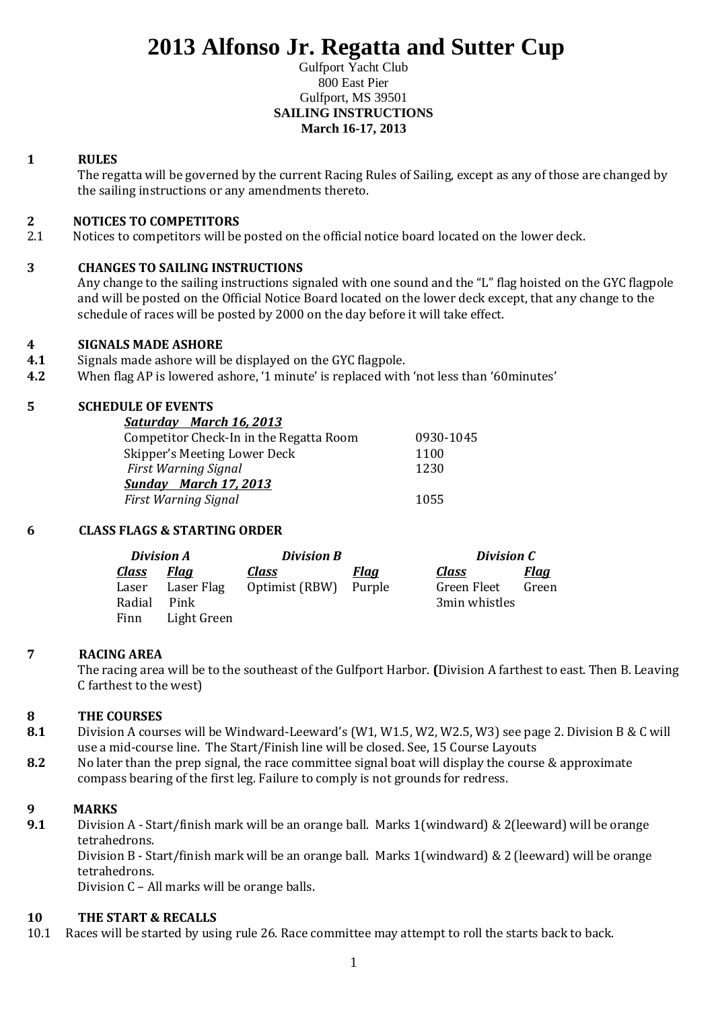# **2013 Alfonso Jr. Regatta and Sutter Cup**

#### Gulfport Yacht Club 800 East Pier Gulfport, MS 39501 **SAILING INSTRUCTIONS March 16-17, 2013**

## **1 RULES**

The regatta will be governed by the current Racing Rules of Sailing, except as any of those are changed by the sailing instructions or any amendments thereto.

## **2 NOTICES TO COMPETITORS**

2.1 Notices to competitors will be posted on the official notice board located on the lower deck.

## **3 CHANGES TO SAILING INSTRUCTIONS**

Any change to the sailing instructions signaled with one sound and the "L" flag hoisted on the GYC flagpole and will be posted on the Official Notice Board located on the lower deck except, that any change to the schedule of races will be posted by 2000 on the day before it will take effect.

## **4 SIGNALS MADE ASHORE**

- **4.1** Signals made ashore will be displayed on the GYC flagpole.
- **4.2** When flag AP is lowered ashore, '1 minute' is replaced with 'not less than '60minutes'

## **5 SCHEDULE OF EVENTS**

| Saturday March 16, 2013                 |           |
|-----------------------------------------|-----------|
| Competitor Check-In in the Regatta Room | 0930-1045 |
| Skipper's Meeting Lower Deck            | 1100      |
| <b>First Warning Signal</b>             | 1230      |
| <b>Sunday</b> March 17, 2013            |           |
| <b>First Warning Signal</b>             | 1055      |

## **6 CLASS FLAGS & STARTING ORDER**

| <b>Division A</b> |             | <b>Division B</b> |             | Division C    |             |
|-------------------|-------------|-------------------|-------------|---------------|-------------|
| <u>Class</u>      | <u>Flaa</u> | <b>Class</b>      | <u>Flaa</u> | <u>Class</u>  | <u>Flaa</u> |
| Laser             | Laser Flag  | Optimist (RBW)    | Purple      | Green Fleet   | Green       |
| Radial            | Pink        |                   |             | 3min whistles |             |
| Finn              | Light Green |                   |             |               |             |

## **7 RACING AREA**

The racing area will be to the southeast of the Gulfport Harbor. **(**Division A farthest to east. Then B. Leaving C farthest to the west)

## **8 THE COURSES**

- **8.1** Division A courses will be Windward-Leeward's (W1, W1.5, W2, W2.5, W3) see page 2. Division B & C will use a mid-course line. The Start/Finish line will be closed. See, 15 Course Layouts
- **8.2** No later than the prep signal, the race committee signal boat will display the course & approximate compass bearing of the first leg. Failure to comply is not grounds for redress.

## **9 MARKS**

**9.1** Division A - Start/finish mark will be an orange ball. Marks 1(windward) & 2(leeward) will be orange tetrahedrons.

Division B - Start/finish mark will be an orange ball. Marks 1(windward) & 2 (leeward) will be orange tetrahedrons.

Division C – All marks will be orange balls.

## **10 THE START & RECALLS**

10.1 Races will be started by using rule 26. Race committee may attempt to roll the starts back to back.